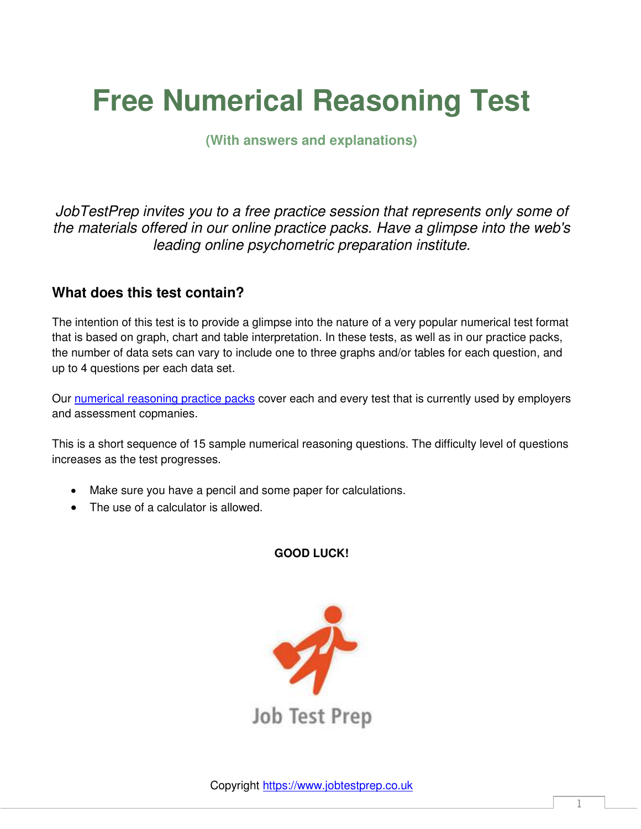# **Free Numerical Reasoning Test**

**(With answers and explanations)** 

*JobTestPrep invites you to a free practice session that represents only some of the materials offered in our online practice packs. Have a glimpse into the web's leading online psychometric preparation institute.* 

# **What does this test contain?**

The intention of this test is to provide a glimpse into the nature of a very popular numerical test format that is based on graph, chart and table interpretation. In these tests, as well as in our practice packs, the number of data sets can vary to include one to three graphs and/or tables for each question, and up to 4 questions per each data set.

Our [numerical reasoning practice packs](https://www.jobtestprep.co.uk/numerical-reasoning-test) cover each and every test that is currently used by employers and assessment copmanies.

This is a short sequence of 15 sample numerical reasoning questions. The difficulty level of questions increases as the test progresses.

- Make sure you have a pencil and some paper for calculations.
- The use of a calculator is allowed.

**GOOD LUCK!** 

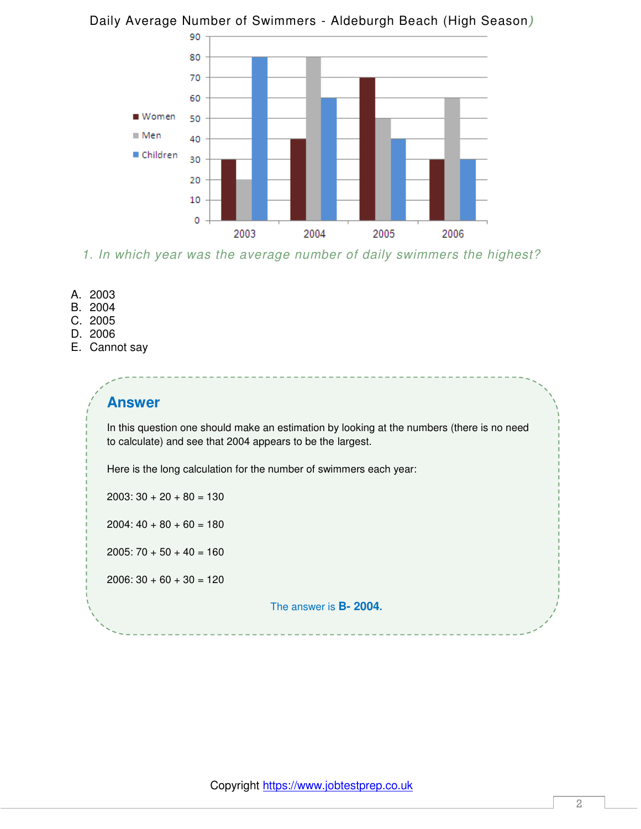

## Daily Average Number of Swimmers - Aldeburgh Beach (High Season*)*

*1. In which year was the average number of daily swimmers the highest?* 

- A. 2003
- B. 2004
- C. 2005
- D. 2006
- E. Cannot say

## **Answer**

In this question one should make an estimation by looking at the numbers (there is no need to calculate) and see that 2004 appears to be the largest.

Here is the long calculation for the number of swimmers each year:

 $2003: 30 + 20 + 80 = 130$ 

 $2004: 40 + 80 + 60 = 180$ 

 $2005: 70 + 50 + 40 = 160$ 

 $2006: 30 + 60 + 30 = 120$ 

The answer is **B- 2004.**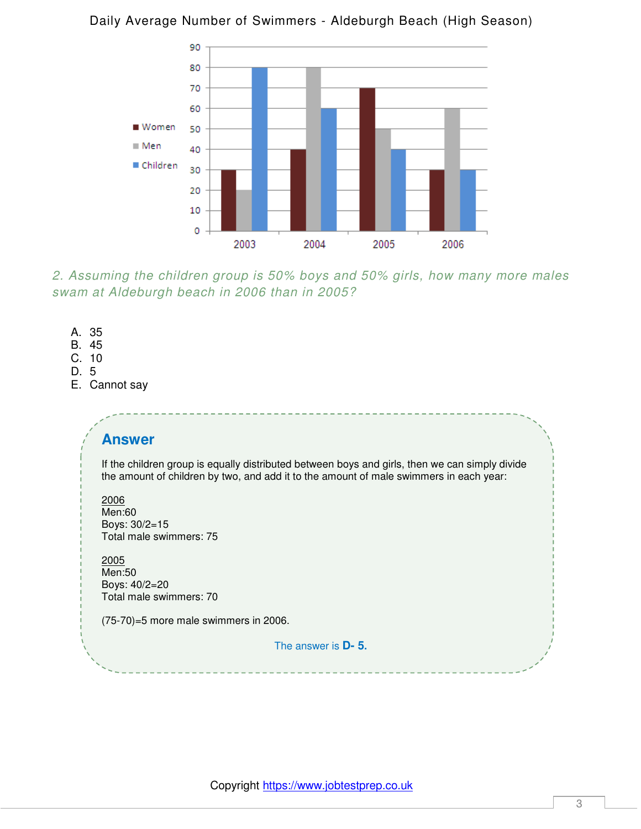

#### Daily Average Number of Swimmers - Aldeburgh Beach (High Season)

*2. Assuming the children group is 50% boys and 50% girls, how many more males swam at Aldeburgh beach in 2006 than in 2005?* 

- A. 35
- B. 45
- C. 10
- D. 5
- E. Cannot say

# **Answer**

If the children group is equally distributed between boys and girls, then we can simply divide the amount of children by two, and add it to the amount of male swimmers in each year:

2006 Men:60 Boys: 30/2=15 Total male swimmers: 75

2005 Men:50 Boys: 40/2=20 Total male swimmers: 70

(75-70)=5 more male swimmers in 2006.

The answer is **D- 5.**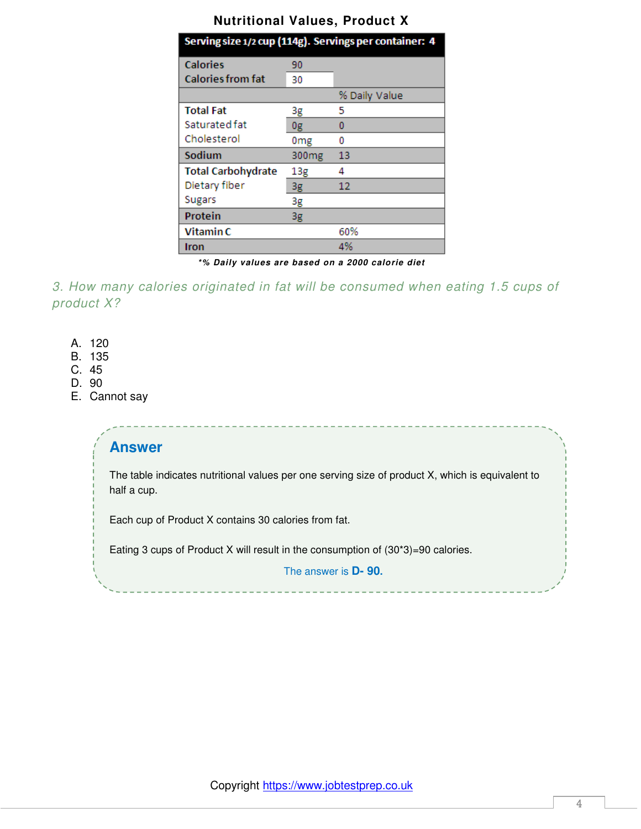#### **Nutritional Values, Product X**

|                           |                   | Serving size 1/2 cup (114g). Servings per container: 4 |
|---------------------------|-------------------|--------------------------------------------------------|
| <b>Calories</b>           | 90                |                                                        |
| <b>Calories from fat</b>  | 30                |                                                        |
|                           |                   | % Daily Value                                          |
| <b>Total Fat</b>          | 3g                | 5                                                      |
| Saturated fat             | 0g                | 0                                                      |
| Cholesterol               | 0 <sub>mg</sub>   | 0                                                      |
| Sodium                    | 300 <sub>mg</sub> | 13                                                     |
| <b>Total Carbohydrate</b> | 13g               | 4                                                      |
| Dietary fiber             | 3g                | 12                                                     |
| <b>Sugars</b>             | 3g                |                                                        |
| Protein                   | 3g                |                                                        |
| Vitamin C                 |                   | 60%                                                    |
| <b>Iron</b>               |                   | 4%                                                     |

*\*% Daily values are based on a 2000 calorie diet*

*3. How many calories originated in fat will be consumed when eating 1.5 cups of product X?* 

- A. 120
- B. 135
- C. 45
- D. 90
- E. Cannot say

# **Answer**

The table indicates nutritional values per one serving size of product X, which is equivalent to half a cup.

Each cup of Product X contains 30 calories from fat.

Eating 3 cups of Product X will result in the consumption of (30\*3)=90 calories.

The answer is **D- 90.**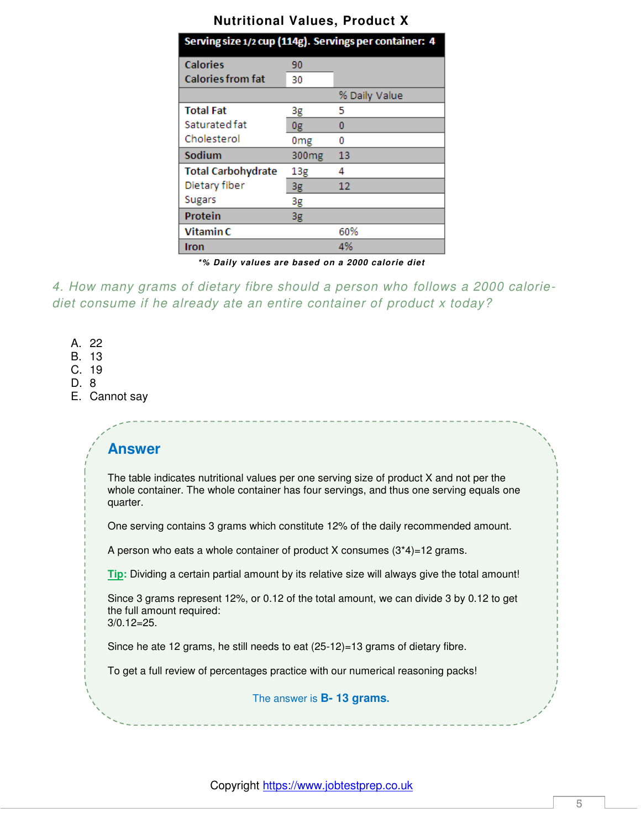| Serving size 1/2 cup (114g). Servings per container: 4 |                   |               |
|--------------------------------------------------------|-------------------|---------------|
| <b>Calories</b>                                        | 90                |               |
| <b>Calories from fat</b>                               | 30                |               |
|                                                        |                   | % Daily Value |
| <b>Total Fat</b>                                       | 3g                | 5             |
| Saturated fat                                          | 0g                | 0             |
| Cholesterol                                            | 0 <sub>mg</sub>   | 0             |
| Sodium                                                 | 300 <sub>mg</sub> | 13            |
| <b>Total Carbohydrate</b>                              | 13g               | 4             |
| Dietary fiber                                          | 3g                | 12            |
| <b>Sugars</b>                                          | 3g                |               |
| Protein                                                | 3g                |               |
| Vitamin C                                              |                   | 60%           |
| Iron                                                   |                   | 4%            |

*\*% Daily values are based on a 2000 calorie diet*

*4. How many grams of dietary fibre should a person who follows a 2000 caloriediet consume if he already ate an entire container of product x today?* 

- A. 22
- B. 13
- C. 19
- D. 8
- E. Cannot say

# **Answer**

The table indicates nutritional values per one serving size of product X and not per the whole container. The whole container has four servings, and thus one serving equals one quarter.

One serving contains 3 grams which constitute 12% of the daily recommended amount.

A person who eats a whole container of product X consumes  $(3*4)=12$  grams.

**Tip:** Dividing a certain partial amount by its relative size will always give the total amount!

Since 3 grams represent 12%, or 0.12 of the total amount, we can divide 3 by 0.12 to get the full amount required:

3/0.12=25.

Since he ate 12 grams, he still needs to eat (25-12)=13 grams of dietary fibre.

To get a full review of percentages practice with our numerical reasoning packs!

The answer is **B- 13 grams.** 

Copyright [https://www.jobtestprep.co.uk](https://www.jobtestprep.co.uk/)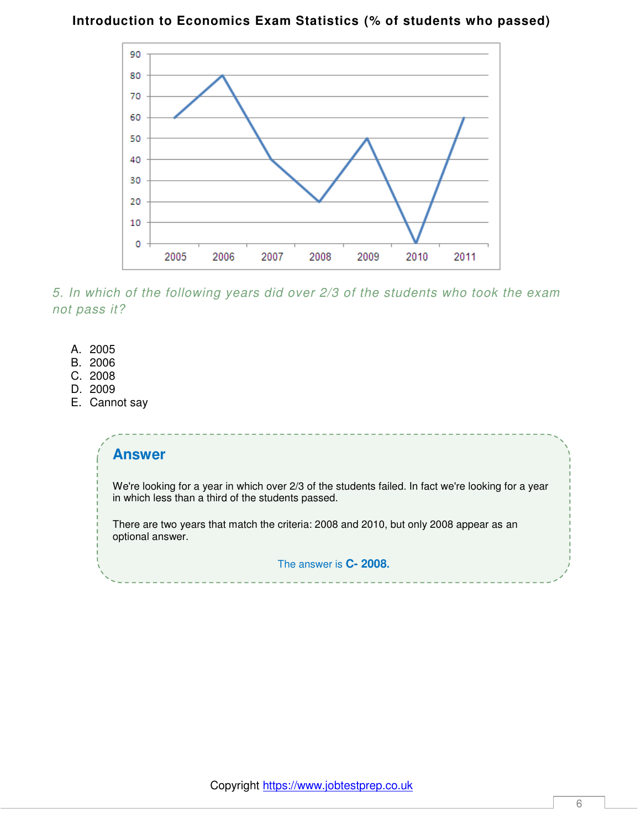#### **Introduction to Economics Exam Statistics (% of students who passed)**



*5. In which of the following years did over 2/3 of the students who took the exam not pass it?* 

- A. 2005
- B. 2006
- C. 2008
- D. 2009
- E. Cannot say

#### **Answer**

We're looking for a year in which over 2/3 of the students failed. In fact we're looking for a year in which less than a third of the students passed.

There are two years that match the criteria: 2008 and 2010, but only 2008 appear as an optional answer.

The answer is **C- 2008.**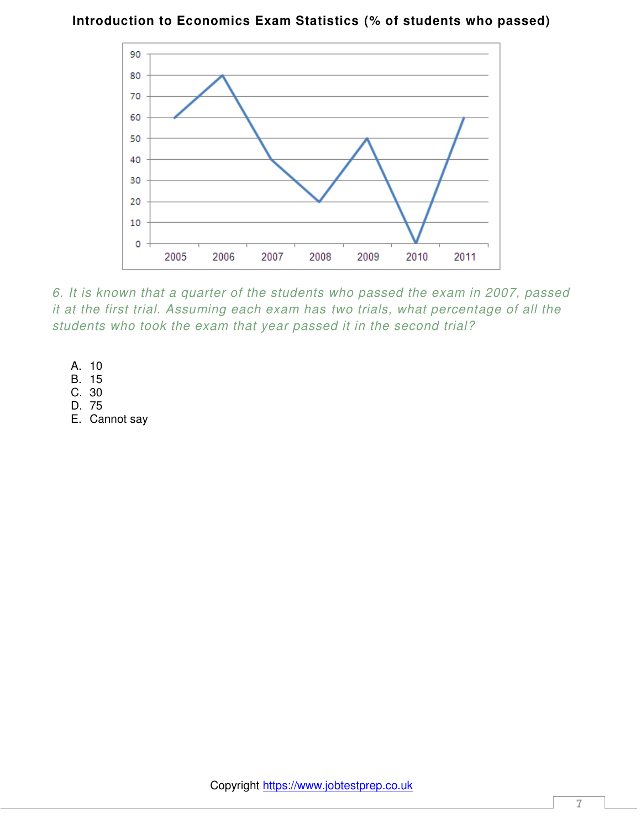#### **Introduction to Economics Exam Statistics (% of students who passed)**



*6. It is known that a quarter of the students who passed the exam in 2007, passed it at the first trial. Assuming each exam has two trials, what percentage of all the students who took the exam that year passed it in the second trial?* 

- A. 10
- B. 15
- C. 30
- D. 75
- E. Cannot say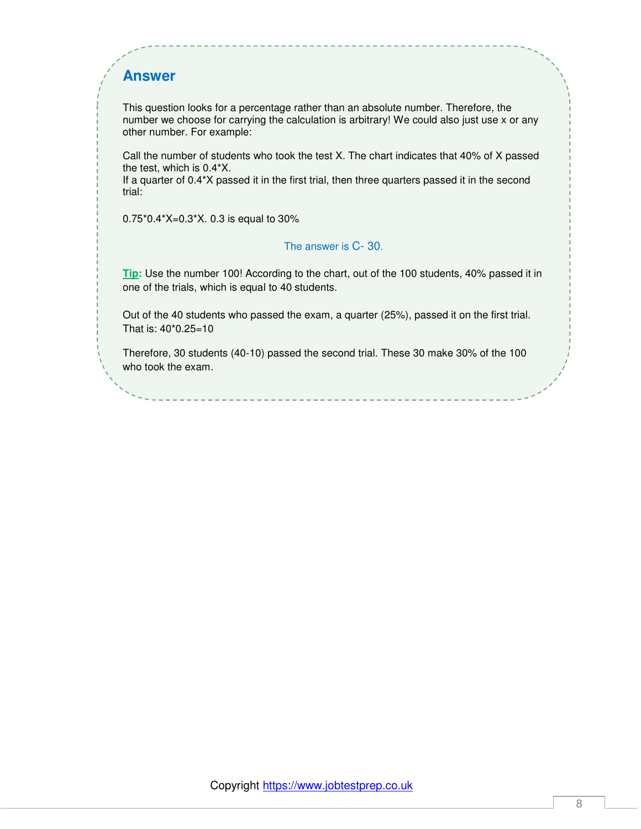# **Answer**

This question looks for a percentage rather than an absolute number. Therefore, the number we choose for carrying the calculation is arbitrary! We could also just use x or any other number. For example:

Call the number of students who took the test X. The chart indicates that 40% of X passed the test, which is 0.4\*X.

If a quarter of 0.4\*X passed it in the first trial, then three quarters passed it in the second trial:

0.75\*0.4\*X=0.3\*X. 0.3 is equal to 30%

#### The answer is C- 30.

**Tip:** Use the number 100! According to the chart, out of the 100 students, 40% passed it in one of the trials, which is equal to 40 students.

Out of the 40 students who passed the exam, a quarter (25%), passed it on the first trial. That is: 40\*0.25=10

Therefore, 30 students (40-10) passed the second trial. These 30 make 30% of the 100 who took the exam.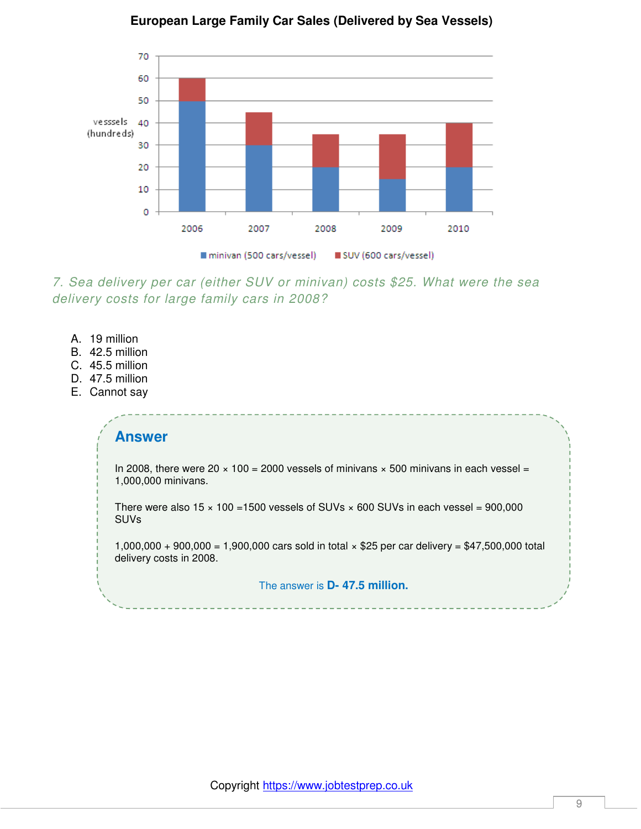

#### **European Large Family Car Sales (Delivered by Sea Vessels)**

*7. Sea delivery per car (either SUV or minivan) costs \$25. What were the sea delivery costs for large family cars in 2008?* 

- A. 19 million
- B. 42.5 million
- C. 45.5 million
- D. 47.5 million
- E. Cannot say

#### **Answer**

In 2008, there were  $20 \times 100 = 2000$  vessels of minivans  $\times 500$  minivans in each vessel = 1,000,000 minivans.

There were also  $15 \times 100 = 1500$  vessels of SUVs  $\times$  600 SUVs in each vessel = 900,000 SUVs

1,000,000 + 900,000 = 1,900,000 cars sold in total × \$25 per car delivery = \$47,500,000 total delivery costs in 2008.

The answer is **D- 47.5 million.**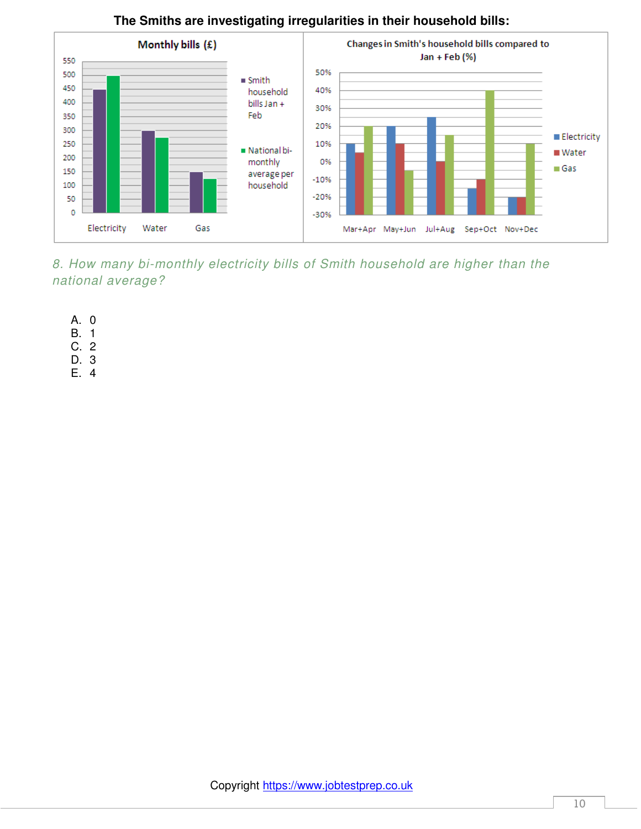

# **The Smiths are investigating irregularities in their household bills:**

*8. How many bi-monthly electricity bills of Smith household are higher than the national average?* 

- A. 0
- B. 1
- C. 2
- D. 3
- E. 4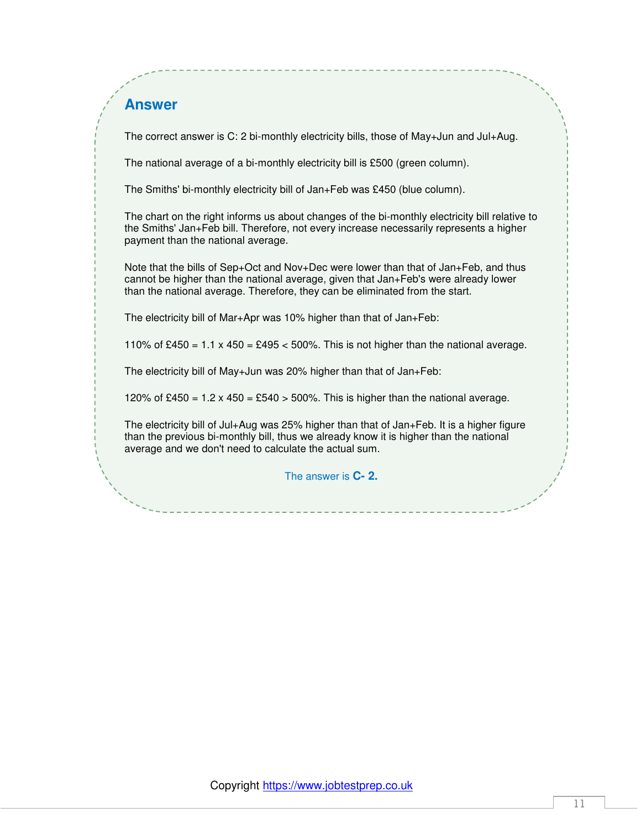## **Answer**

The correct answer is C: 2 bi-monthly electricity bills, those of May+Jun and Jul+Aug.

The national average of a bi-monthly electricity bill is £500 (green column).

The Smiths' bi-monthly electricity bill of Jan+Feb was £450 (blue column).

The chart on the right informs us about changes of the bi-monthly electricity bill relative to the Smiths' Jan+Feb bill. Therefore, not every increase necessarily represents a higher payment than the national average.

Note that the bills of Sep+Oct and Nov+Dec were lower than that of Jan+Feb, and thus cannot be higher than the national average, given that Jan+Feb's were already lower than the national average. Therefore, they can be eliminated from the start.

The electricity bill of Mar+Apr was 10% higher than that of Jan+Feb:

110% of £450 =  $1.1 \times 450 = 2495 < 500\%$ . This is not higher than the national average.

The electricity bill of May+Jun was 20% higher than that of Jan+Feb:

120% of £450 = 1.2 x 450 = £540 > 500%. This is higher than the national average.

The electricity bill of Jul+Aug was 25% higher than that of Jan+Feb. It is a higher figure than the previous bi-monthly bill, thus we already know it is higher than the national average and we don't need to calculate the actual sum.

The answer is **C- 2.**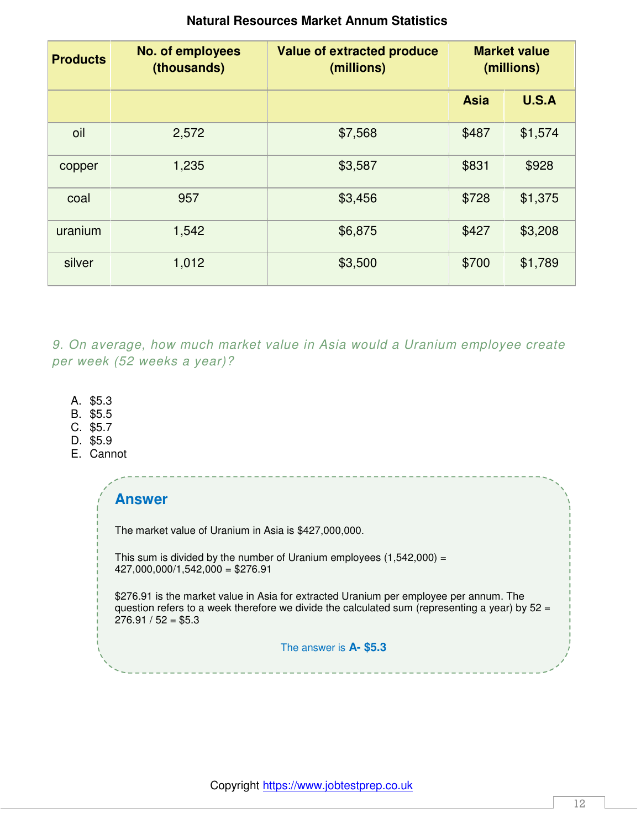| <b>Products</b> | <b>No. of employees</b><br>(thousands) | <b>Value of extracted produce</b><br>(millions) | <b>Market value</b><br>(millions) |              |
|-----------------|----------------------------------------|-------------------------------------------------|-----------------------------------|--------------|
|                 |                                        |                                                 | <b>Asia</b>                       | <b>U.S.A</b> |
| oil             | 2,572                                  | \$7,568                                         | \$487                             | \$1,574      |
| copper          | 1,235                                  | \$3,587                                         | \$831                             | \$928        |
| coal            | 957                                    | \$3,456                                         | \$728                             | \$1,375      |
| uranium         | 1,542                                  | \$6,875                                         | \$427                             | \$3,208      |
| silver          | 1,012                                  | \$3,500                                         | \$700                             | \$1,789      |

#### **Natural Resources Market Annum Statistics**

*9. On average, how much market value in Asia would a Uranium employee create per week (52 weeks a year)?* 

- A. \$5.3
- B. \$5.5
- C. \$5.7
- D. \$5.9
- E. Cannot

| <b>Answer</b>                                                                                                                                                                                                      |  |
|--------------------------------------------------------------------------------------------------------------------------------------------------------------------------------------------------------------------|--|
| The market value of Uranium in Asia is \$427,000,000.                                                                                                                                                              |  |
| This sum is divided by the number of Uranium employees $(1,542,000)$ =<br>$427,000,000/1,542,000 = $276.91$                                                                                                        |  |
| \$276.91 is the market value in Asia for extracted Uranium per employee per annum. The<br>question refers to a week therefore we divide the calculated sum (representing a year) by $52 =$<br>$276.91 / 52 = $5.3$ |  |
| The answer is A- \$5.3                                                                                                                                                                                             |  |
|                                                                                                                                                                                                                    |  |

-----------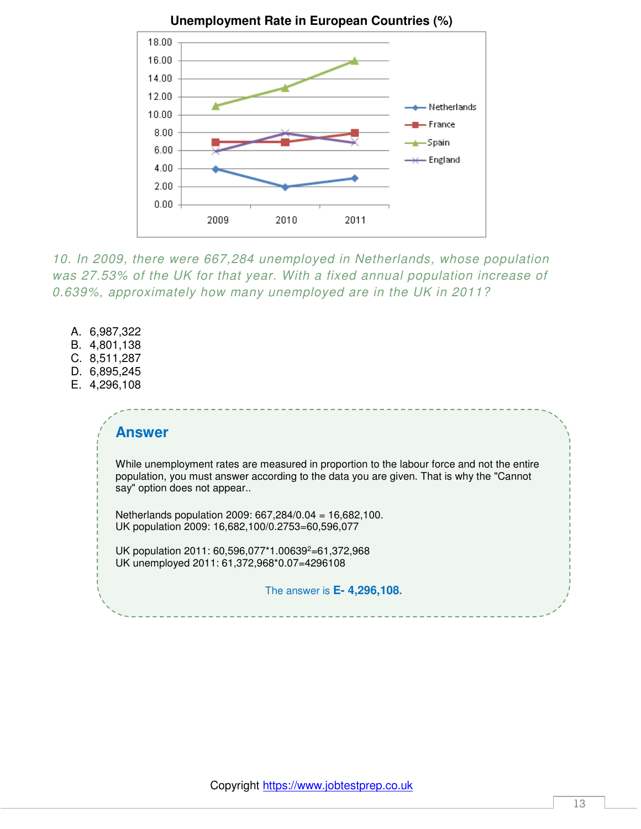

*10. In 2009, there were 667,284 unemployed in Netherlands, whose population was 27.53% of the UK for that year. With a fixed annual population increase of 0.639%, approximately how many unemployed are in the UK in 2011?* 

- A. 6,987,322
- B. 4,801,138
- C. 8,511,287
- D. 6,895,245
- E. 4,296,108

#### **Answer**

While unemployment rates are measured in proportion to the labour force and not the entire population, you must answer according to the data you are given. That is why the "Cannot say" option does not appear..

Netherlands population 2009: 667,284/0.04 = 16,682,100. UK population 2009: 16,682,100/0.2753=60,596,077

UK population 2011: 60,596,077\*1.00639<sup>2</sup>=61,372,968 UK unemployed 2011: 61,372,968\*0.07=4296108

The answer is **E- 4,296,108.**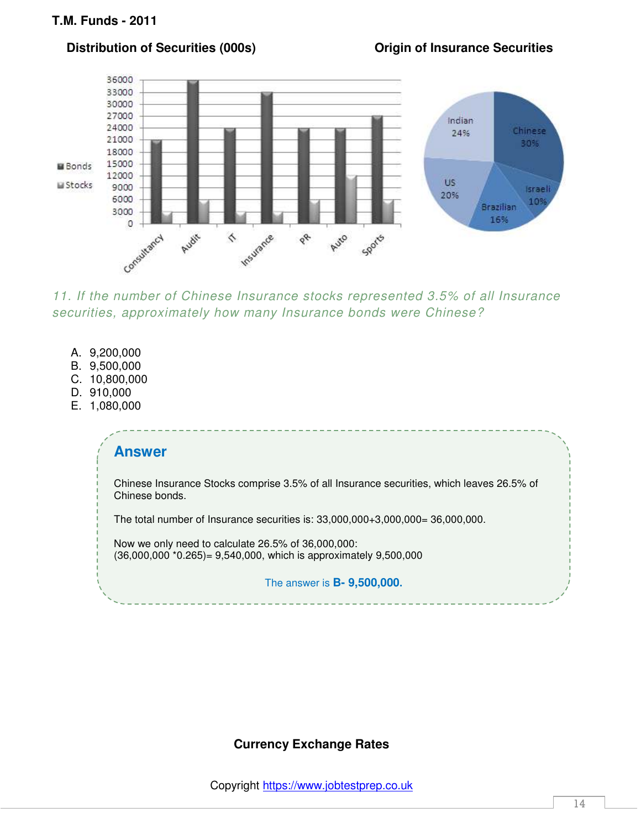#### **Distribution of Securities (000s) Community Community Community Community Distribution of Securities**



*11. If the number of Chinese Insurance stocks represented 3.5% of all Insurance securities, approximately how many Insurance bonds were Chinese?* 

- A. 9,200,000
- B. 9,500,000
- C. 10,800,000
- D. 910,000
- E. 1,080,000

#### **Answer**

Chinese Insurance Stocks comprise 3.5% of all Insurance securities, which leaves 26.5% of Chinese bonds.

The total number of Insurance securities is: 33,000,000+3,000,000= 36,000,000.

Now we only need to calculate 26.5% of 36,000,000: (36,000,000 \*0.265)= 9,540,000, which is approximately 9,500,000

The answer is **B- 9,500,000.** 

# **Currency Exchange Rates**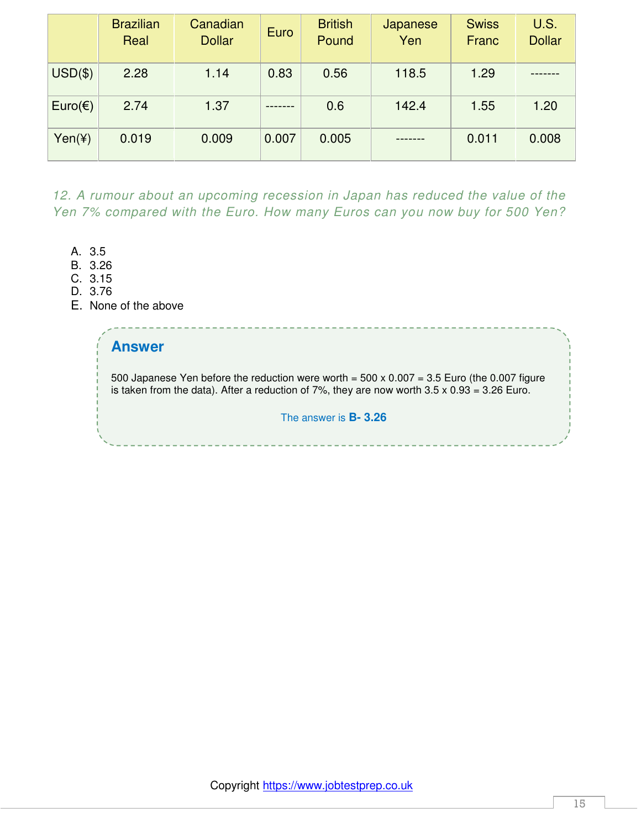|                  | <b>Brazilian</b><br>Real | Canadian<br><b>Dollar</b> | Euro  | <b>British</b><br>Pound | Japanese<br>Yen | <b>Swiss</b><br>Franc | <b>U.S.</b><br><b>Dollar</b> |
|------------------|--------------------------|---------------------------|-------|-------------------------|-----------------|-----------------------|------------------------------|
| $USD($ \$)       | 2.28                     | 1.14                      | 0.83  | 0.56                    | 118.5           | 1.29                  |                              |
| $Euro(\epsilon)$ | 2.74                     | 1.37                      |       | 0.6                     | 142.4           | 1.55                  | 1.20                         |
| Yen(Y)           | 0.019                    | 0.009                     | 0.007 | 0.005                   |                 | 0.011                 | 0.008                        |

12. A rumour about an upcoming recession in Japan has reduced the value of the *Yen 7% compared with the Euro. How many Euros can you now buy for 500 Yen?* 

- A. 3.5
- B. 3.26
- C. 3.15
- D. 3.76
- E. None of the above

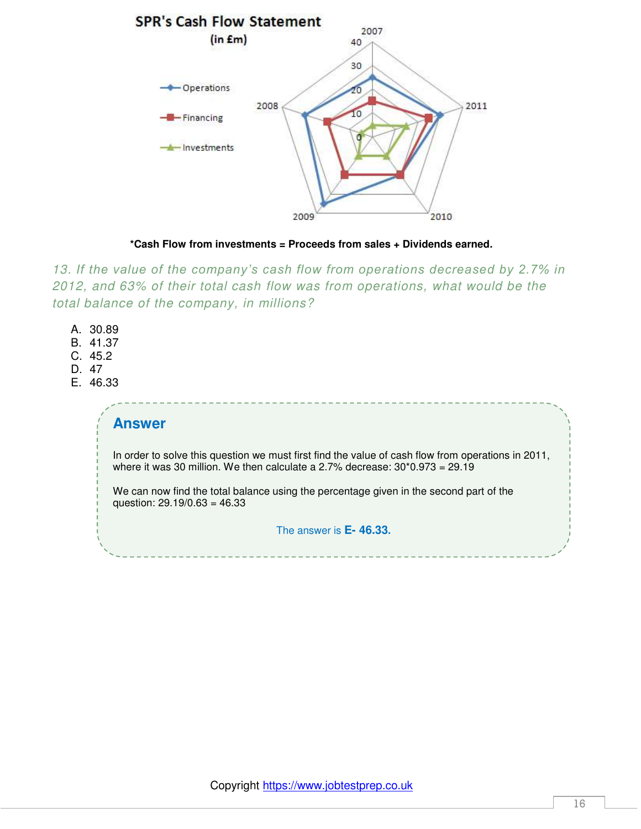



*13. If the value of the company's cash flow from operations decreased by 2.7% in 2012, and 63% of their total cash flow was from operations, what would be the total balance of the company, in millions?* 

- A. 30.89
- B. 41.37
- C. 45.2
- D. 47
- E. 46.33

#### **Answer**

In order to solve this question we must first find the value of cash flow from operations in 2011, where it was 30 million. We then calculate a 2.7% decrease: 30\*0.973 = 29.19

We can now find the total balance using the percentage given in the second part of the question: 29.19/0.63 = 46.33

#### The answer is **E- 46.33.**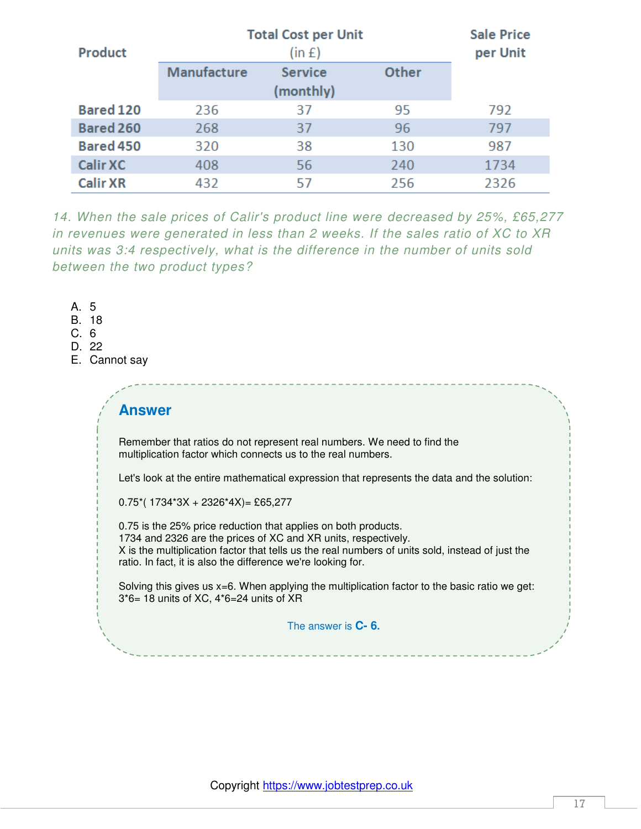| <b>Product</b>  | <b>Total Cost per Unit</b><br>(in f) |                |       |      |  |
|-----------------|--------------------------------------|----------------|-------|------|--|
|                 | <b>Manufacture</b>                   | <b>Service</b> | Other |      |  |
|                 |                                      | (monthly)      |       |      |  |
| Bared 120       | 236                                  | 37             | 95    | 792  |  |
| Bared 260       | 268                                  | 37             | 96    | 797  |  |
| Bared 450       | 320                                  | 38             | 130   | 987  |  |
| <b>Calir XC</b> | 408                                  | 56             | 240   | 1734 |  |
| <b>Calir XR</b> | 432                                  | 57             | 256   | 2326 |  |

*14. When the sale prices of Calir's product line were decreased by 25%, £65,277 in revenues were generated in less than 2 weeks. If the sales ratio of XC to XR units was 3:4 respectively, what is the difference in the number of units sold between the two product types?* 

A. 5

B. 18

C. 6

- D. 22
- E. Cannot say

#### **Answer**

Remember that ratios do not represent real numbers. We need to find the multiplication factor which connects us to the real numbers.

Let's look at the entire mathematical expression that represents the data and the solution:

 $0.75$ <sup>\*</sup>( $1734$ <sup>\*</sup> $3X + 2326$ <sup>\*</sup> $4X$ ) = £65,277

0.75 is the 25% price reduction that applies on both products. 1734 and 2326 are the prices of XC and XR units, respectively. X is the multiplication factor that tells us the real numbers of units sold, instead of just the ratio. In fact, it is also the difference we're looking for.

Solving this gives us x=6. When applying the multiplication factor to the basic ratio we get: 3\*6= 18 units of XC, 4\*6=24 units of XR

The answer is **C- 6.**